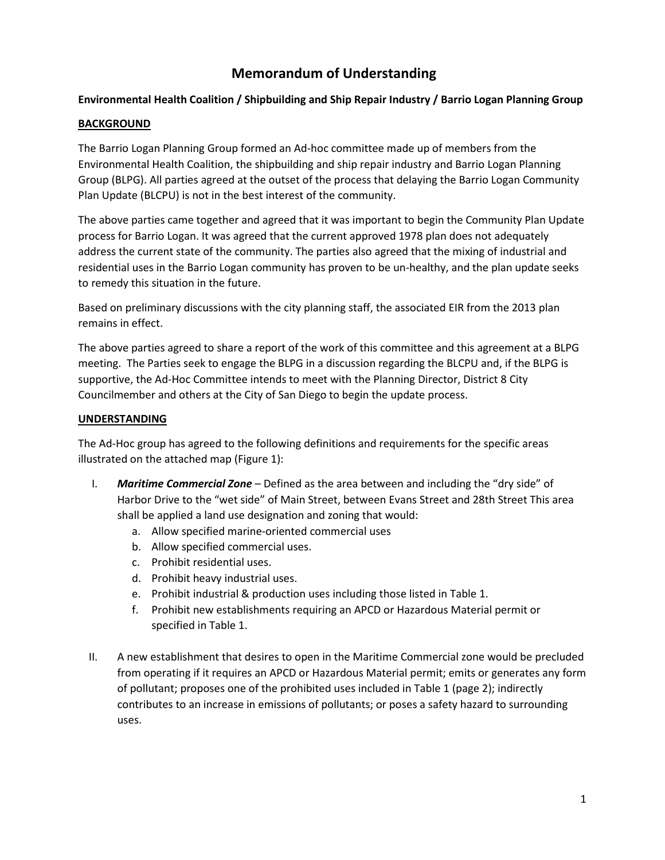# **Memorandum of Understanding**

# **Environmental Health Coalition / Shipbuilding and Ship Repair Industry / Barrio Logan Planning Group**

### **BACKGROUND**

The Barrio Logan Planning Group formed an Ad-hoc committee made up of members from the Environmental Health Coalition, the shipbuilding and ship repair industry and Barrio Logan Planning Group (BLPG). All parties agreed at the outset of the process that delaying the Barrio Logan Community Plan Update (BLCPU) is not in the best interest of the community.

The above parties came together and agreed that it was important to begin the Community Plan Update process for Barrio Logan. It was agreed that the current approved 1978 plan does not adequately address the current state of the community. The parties also agreed that the mixing of industrial and residential uses in the Barrio Logan community has proven to be un-healthy, and the plan update seeks to remedy this situation in the future.

Based on preliminary discussions with the city planning staff, the associated EIR from the 2013 plan remains in effect.

The above parties agreed to share a report of the work of this committee and this agreement at a BLPG meeting. The Parties seek to engage the BLPG in a discussion regarding the BLCPU and, if the BLPG is supportive, the Ad-Hoc Committee intends to meet with the Planning Director, District 8 City Councilmember and others at the City of San Diego to begin the update process.

## **UNDERSTANDING**

The Ad-Hoc group has agreed to the following definitions and requirements for the specific areas illustrated on the attached map (Figure 1):

- I. *Maritime Commercial Zone* Defined as the area between and including the "dry side" of Harbor Drive to the "wet side" of Main Street, between Evans Street and 28th Street This area shall be applied a land use designation and zoning that would:
	- a. Allow specified marine-oriented commercial uses
	- b. Allow specified commercial uses.
	- c. Prohibit residential uses.
	- d. Prohibit heavy industrial uses.
	- e. Prohibit industrial & production uses including those listed in Table 1.
	- f. Prohibit new establishments requiring an APCD or Hazardous Material permit or specified in Table 1.
- II. A new establishment that desires to open in the Maritime Commercial zone would be precluded from operating if it requires an APCD or Hazardous Material permit; emits or generates any form of pollutant; proposes one of the prohibited uses included in Table 1 (page 2); indirectly contributes to an increase in emissions of pollutants; or poses a safety hazard to surrounding uses.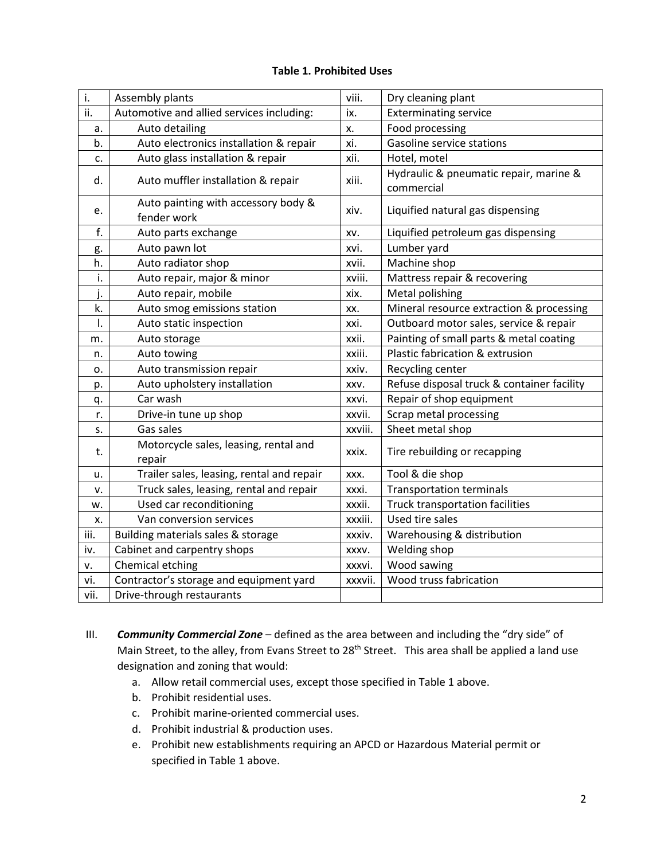## **Table 1. Prohibited Uses**

| i.   | Assembly plants                                 | viii.   | Dry cleaning plant                                   |
|------|-------------------------------------------------|---------|------------------------------------------------------|
| ii.  | Automotive and allied services including:       | ix.     | <b>Exterminating service</b>                         |
| a.   | Auto detailing                                  | х.      | Food processing                                      |
| b.   | Auto electronics installation & repair          | xi.     | Gasoline service stations                            |
| c.   | Auto glass installation & repair                | xii.    | Hotel, motel                                         |
| d.   | Auto muffler installation & repair              | xiii.   | Hydraulic & pneumatic repair, marine &<br>commercial |
| e.   | Auto painting with accessory body &             | xiv.    | Liquified natural gas dispensing                     |
|      | fender work                                     |         |                                                      |
| f.   | Auto parts exchange                             | XV.     | Liquified petroleum gas dispensing                   |
| g.   | Auto pawn lot                                   | xvi.    | Lumber yard                                          |
| h.   | Auto radiator shop                              | xvii.   | Machine shop                                         |
| i.   | Auto repair, major & minor                      | xviii.  | Mattress repair & recovering                         |
| j.   | Auto repair, mobile                             | xix.    | Metal polishing                                      |
| k.   | Auto smog emissions station                     | XX.     | Mineral resource extraction & processing             |
| ı.   | Auto static inspection                          | xxi.    | Outboard motor sales, service & repair               |
| m.   | Auto storage                                    | xxii.   | Painting of small parts & metal coating              |
| n.   | Auto towing                                     | xxiii.  | Plastic fabrication & extrusion                      |
| о.   | Auto transmission repair                        | xxiv.   | Recycling center                                     |
| p.   | Auto upholstery installation                    | XXV.    | Refuse disposal truck & container facility           |
| q.   | Car wash                                        | xxvi.   | Repair of shop equipment                             |
| r.   | Drive-in tune up shop                           | xxvii.  | Scrap metal processing                               |
| s.   | Gas sales                                       | xxviii. | Sheet metal shop                                     |
| t.   | Motorcycle sales, leasing, rental and<br>repair | xxix.   | Tire rebuilding or recapping                         |
| u.   | Trailer sales, leasing, rental and repair       | XXX.    | Tool & die shop                                      |
| v.   | Truck sales, leasing, rental and repair         | xxxi.   | <b>Transportation terminals</b>                      |
| w.   | Used car reconditioning                         | xxxii.  | Truck transportation facilities                      |
| x.   | Van conversion services                         | xxxiii. | Used tire sales                                      |
| iii. | Building materials sales & storage              | xxxiv.  | Warehousing & distribution                           |
| iv.  | Cabinet and carpentry shops                     | XXXV.   | Welding shop                                         |
| ٧.   | Chemical etching                                | xxxvi.  | Wood sawing                                          |
| vi.  | Contractor's storage and equipment yard         | xxxvii. | Wood truss fabrication                               |
| vii. | Drive-through restaurants                       |         |                                                      |

- III. *Community Commercial Zone* defined as the area between and including the "dry side" of Main Street, to the alley, from Evans Street to 28<sup>th</sup> Street. This area shall be applied a land use designation and zoning that would:
	- a. Allow retail commercial uses, except those specified in Table 1 above.
	- b. Prohibit residential uses.
	- c. Prohibit marine-oriented commercial uses.
	- d. Prohibit industrial & production uses.
	- e. Prohibit new establishments requiring an APCD or Hazardous Material permit or specified in Table 1 above.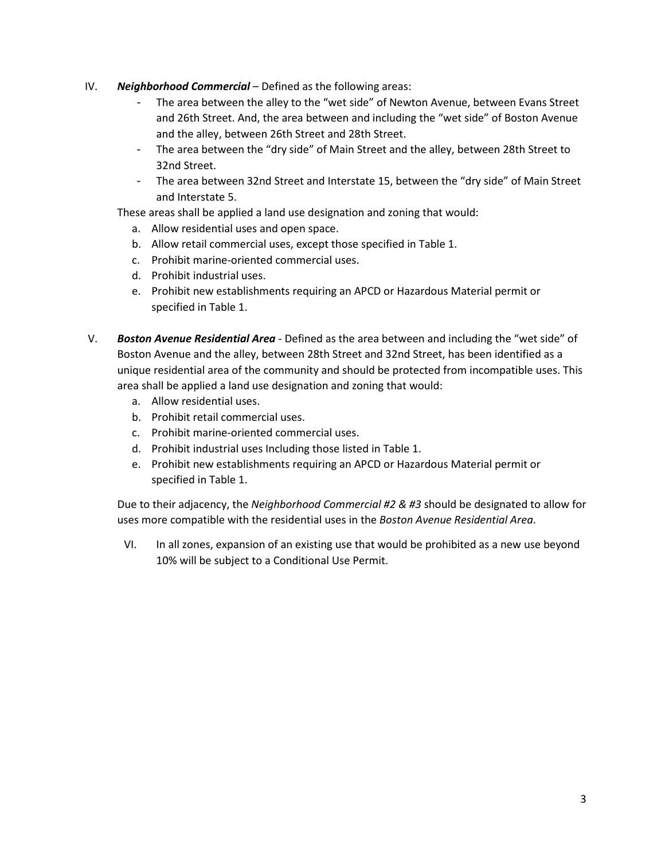- IV. *Neighborhood Commercial* Defined as the following areas:
	- The area between the alley to the "wet side" of Newton Avenue, between Evans Street and 26th Street. And, the area between and including the "wet side" of Boston Avenue and the alley, between 26th Street and 28th Street.
	- The area between the "dry side" of Main Street and the alley, between 28th Street to 32nd Street.
	- The area between 32nd Street and Interstate 15, between the "dry side" of Main Street and Interstate 5.

These areas shall be applied a land use designation and zoning that would:

- a. Allow residential uses and open space.
- b. Allow retail commercial uses, except those specified in Table 1.
- c. Prohibit marine-oriented commercial uses.
- d. Prohibit industrial uses.
- e. Prohibit new establishments requiring an APCD or Hazardous Material permit or specified in Table 1.
- V. *Boston Avenue Residential Area* Defined as the area between and including the "wet side" of Boston Avenue and the alley, between 28th Street and 32nd Street, has been identified as a unique residential area of the community and should be protected from incompatible uses. This area shall be applied a land use designation and zoning that would:
	- a. Allow residential uses.
	- b. Prohibit retail commercial uses.
	- c. Prohibit marine-oriented commercial uses.
	- d. Prohibit industrial uses Including those listed in Table 1.
	- e. Prohibit new establishments requiring an APCD or Hazardous Material permit or specified in Table 1.

Due to their adjacency, the *Neighborhood Commercial #2 & #3* should be designated to allow for uses more compatible with the residential uses in the *Boston Avenue Residential Area*.

VI. In all zones, expansion of an existing use that would be prohibited as a new use beyond 10% will be subject to a Conditional Use Permit.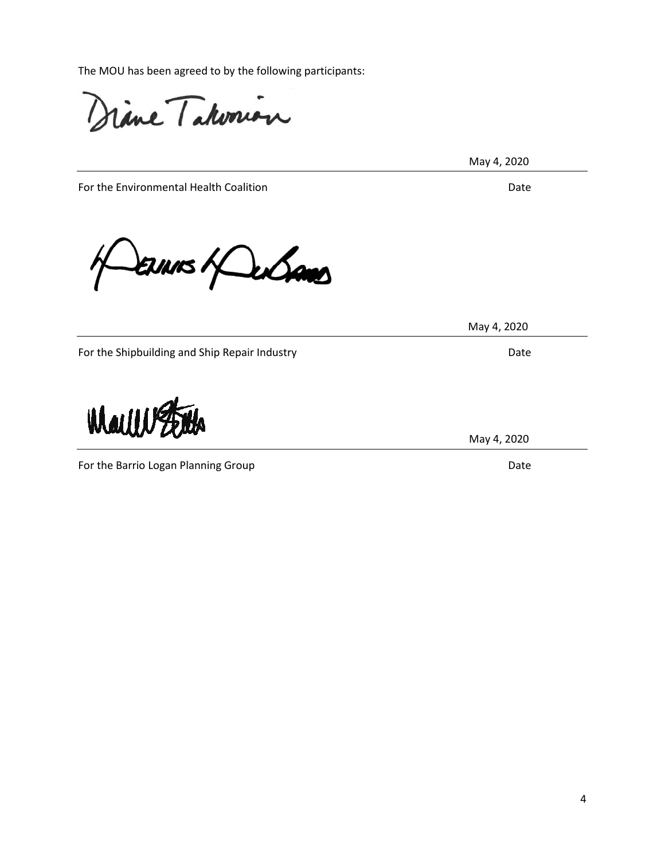The MOU has been agreed to by the following participants:

rine Takonion

May 4, 2020

For the Environmental Health Coalition **Date** Date Date

ENNIS Hans

For the Shipbuilding and Ship Repair Industry **Example 20** and Date

For the Barrio Logan Planning Group Date Date Controller and Date Date Date

May 4, 2020

May 4, 2020